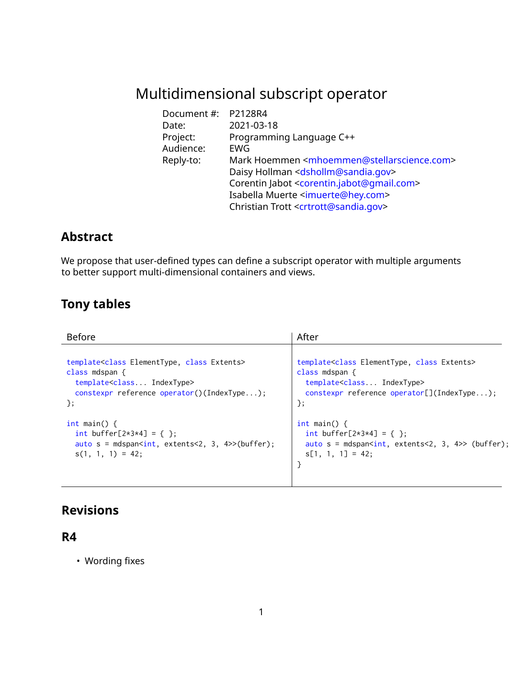# Multidimensional subscript operator

| Document #: P2128R4 |                                                                          |
|---------------------|--------------------------------------------------------------------------|
| Date:               | 2021-03-18                                                               |
| Project:            | Programming Language C++                                                 |
| Audience:           | EWG                                                                      |
| Reply-to:           | Mark Hoemmen <mhoemmen@stellarscience.com></mhoemmen@stellarscience.com> |
|                     | Daisy Hollman <dshollm@sandia.gov></dshollm@sandia.gov>                  |
|                     | Corentin Jabot <corentin.jabot@gmail.com></corentin.jabot@gmail.com>     |
|                     | Isabella Muerte <imuerte@hey.com></imuerte@hey.com>                      |
|                     | Christian Trott <crtrott@sandia.gov></crtrott@sandia.gov>                |

### **Abstract**

We propose that user-defined types can define a subscript operator with multiple arguments to better support multi-dimensional containers and views.

# **Tony tables**

| <b>Before</b>                                                          | After                                                                   |
|------------------------------------------------------------------------|-------------------------------------------------------------------------|
| template <class class="" elementtype,="" extents=""></class>           | template <class class="" elementtype,="" extents=""></class>            |
| class mdspan $\{$                                                      | class mdspan $\{$                                                       |
| template <class indextype=""></class>                                  | template <class indextype=""></class>                                   |
| constexpr reference operator()(IndexType);                             | constexpr reference operator[](IndexType);                              |
| $\}$ ;                                                                 | $\}$ ;                                                                  |
| int main() $\{$                                                        | $int \text{ main() } f$                                                 |
| int buffer[ $2*3*4$ ] = { };                                           | int buffer[ $2*3*4$ ] = { };                                            |
| auto $s = mds$ pan <int, 3,="" 4="" extents<2,="">&gt;(buffer);</int,> | auto $s = mds$ pan <int, 3,="" 4="" extents<2,="">&gt; (buffer);</int,> |
| $s(1, 1, 1) = 42$ ;                                                    | $s[1, 1, 1] = 42$ ;                                                     |

### **Revisions**

#### **R4**

• Wording fixes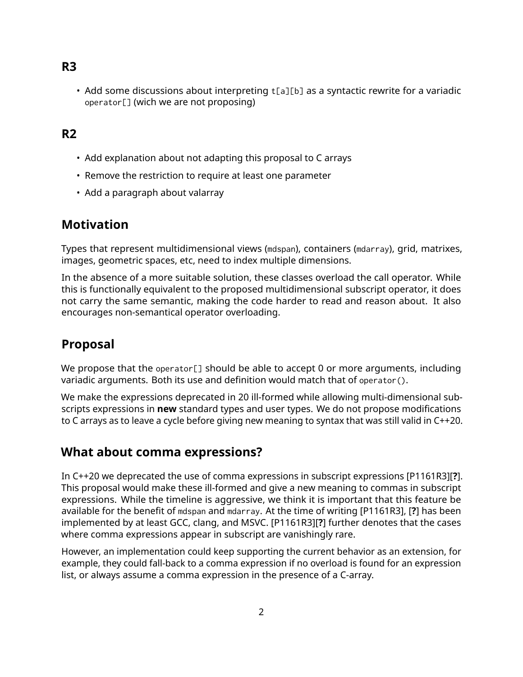#### **R3**

• Add some discussions about interpreting  $t[a][b]$  as a syntactic rewrite for a variadic operator[] (wich we are not proposing)

#### **R2**

- Add explanation about not adapting this proposal to C arrays
- Remove the restriction to require at least one parameter
- Add a paragraph about valarray

#### **Motivation**

Types that represent multidimensional views (mdspan), containers (mdarray), grid, matrixes, images, geometric spaces, etc, need to index multiple dimensions.

In the absence of a more suitable solution, these classes overload the call operator. While this is functionally equivalent to the proposed multidimensional subscript operator, it does not carry the same semantic, making the code harder to read and reason about. It also encourages non-semantical operator overloading.

## **Proposal**

We propose that the operator[] should be able to accept 0 or more arguments, including variadic arguments. Both its use and definition would match that of operator().

We make the expressions deprecated in 20 ill-formed while allowing multi-dimensional subscripts expressions in **new** standard types and user types. We do not propose modifications to C arrays as to leave a cycle before giving new meaning to syntax that was still valid in C++20.

#### **What about comma expressions?**

In C++20 we deprecated the use of comma expressions in subscript expressions [P1161R3][**?**]. This proposal would make these ill-formed and give a new meaning to commas in subscript expressions. While the timeline is aggressive, we think it is important that this feature be available for the benefit of mdspan and mdarray. At the time of writing [P1161R3], [**?**] has been implemented by at least GCC, clang, and MSVC. [P1161R3][**?**] further denotes that the cases where comma expressions appear in subscript are vanishingly rare.

However, an implementation could keep supporting the current behavior as an extension, for example, they could fall-back to a comma expression if no overload is found for an expression list, or always assume a comma expression in the presence of a C-array.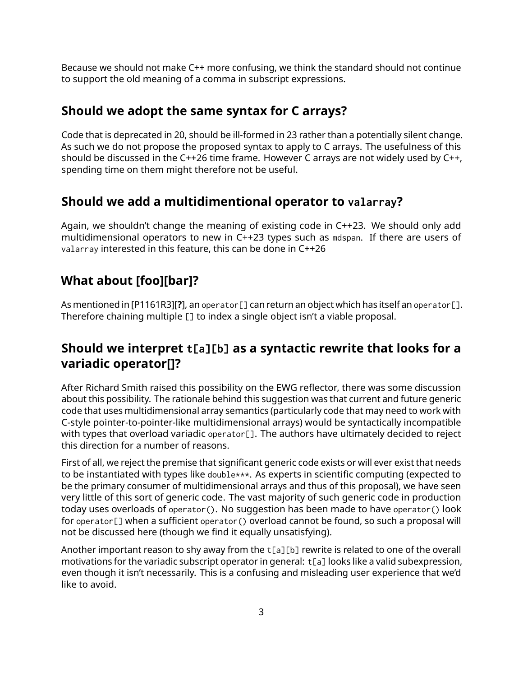Because we should not make C++ more confusing, we think the standard should not continue to support the old meaning of a comma in subscript expressions.

#### **Should we adopt the same syntax for C arrays?**

Code that is deprecated in 20, should be ill-formed in 23 rather than a potentially silent change. As such we do not propose the proposed syntax to apply to C arrays. The usefulness of this should be discussed in the C++26 time frame. However C arrays are not widely used by C++, spending time on them might therefore not be useful.

## **Should we add a multidimentional operator to valarray?**

Again, we shouldn't change the meaning of existing code in C++23. We should only add multidimensional operators to new in C++23 types such as mdspan. If there are users of valarray interested in this feature, this can be done in C++26

## **What about [foo][bar]?**

As mentioned in [P1161R3][**?**], an operator[] can return an object which has itself an operator[]. Therefore chaining multiple [] to index a single object isn't a viable proposal.

## **Should we interpret t[a][b] as a syntactic rewrite that looks for a variadic operator[]?**

After Richard Smith raised this possibility on the EWG reflector, there was some discussion about this possibility. The rationale behind this suggestion was that current and future generic code that uses multidimensional array semantics (particularly code that may need to work with C-style pointer-to-pointer-like multidimensional arrays) would be syntactically incompatible with types that overload variadic operator[]. The authors have ultimately decided to reject this direction for a number of reasons.

First of all, we reject the premise that significant generic code exists or will ever exist that needs to be instantiated with types like double\*\*\*. As experts in scientific computing (expected to be the primary consumer of multidimensional arrays and thus of this proposal), we have seen very little of this sort of generic code. The vast majority of such generic code in production today uses overloads of operator(). No suggestion has been made to have operator() look for operator[] when a sufficient operator() overload cannot be found, so such a proposal will not be discussed here (though we find it equally unsatisfying).

Another important reason to shy away from the t[a][b] rewrite is related to one of the overall motivations for the variadic subscript operator in general:  $t[a]$  looks like a valid subexpression, even though it isn't necessarily. This is a confusing and misleading user experience that we'd like to avoid.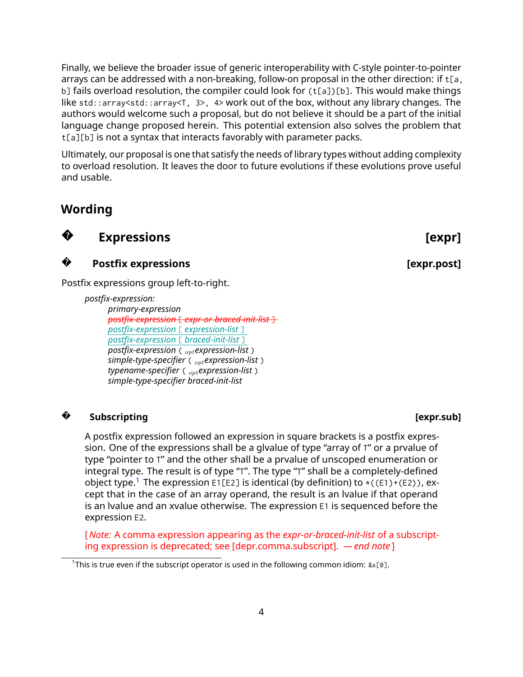Finally, we believe the broader issue of generic interoperability with C-style pointer-to-pointer arrays can be addressed with a non-breaking, follow-on proposal in the other direction: if  $t[a,$ b] fails overload resolution, the compiler could look for (t[a])[b]. This would make things like std::array<std::array<T, 3>, 4> work out of the box, without any library changes. The authors would welcome such a proposal, but do not believe it should be a part of the initial language change proposed herein. This potential extension also solves the problem that t[a][b] is not a syntax that interacts favorably with parameter packs.

Ultimately, our proposal is one that satisfy the needs of library types without adding complexity to overload resolution. It leaves the door to future evolutions if these evolutions prove useful and usable.

#### **Wording**



**?**

**Expressions** [expr]

**Postfix expressions** *expressions expr.post]* 

Postfix expressions group left-to-right.

*postfix-expression: primary-expression postfix-expression* [ *expr-or-braced-init-list* ] *postfix-expression* [ *expression-list* ] *postfix-expression* [ *braced-init-list* ] *postfix-expression* ( *optexpression-list* ) *simple-type-specifier* ( *optexpression-list* ) *typename-specifier* ( *optexpression-list* ) *simple-type-specifier braced-init-list*

#### **? Subscripting [expr.sub]**

A postfix expression followed an expression in square brackets is a postfix expression. One of the expressions shall be a glvalue of type "array of T" or a prvalue of type "pointer to T" and the other shall be a prvalue of unscoped enumeration or integral type. The result is of type "T". The type "T" shall be a completely-defined object type.<sup>[1](#page-3-0)</sup> The expression E1[E2] is identical (by definition) to  $\star$ ((E1)+(E2)), except that in the case of an array operand, the result is an lvalue if that operand is an lvalue and an xvalue otherwise. The expression E1 is sequenced before the expression E2.

[ *Note:* A comma expression appearing as the *expr-or-braced-init-list* of a subscripting expression is deprecated; see [depr.comma.subscript]. *— end note* ]

<span id="page-3-0"></span><sup>&</sup>lt;sup>1</sup>This is true even if the subscript operator is used in the following common idiom: &x[0].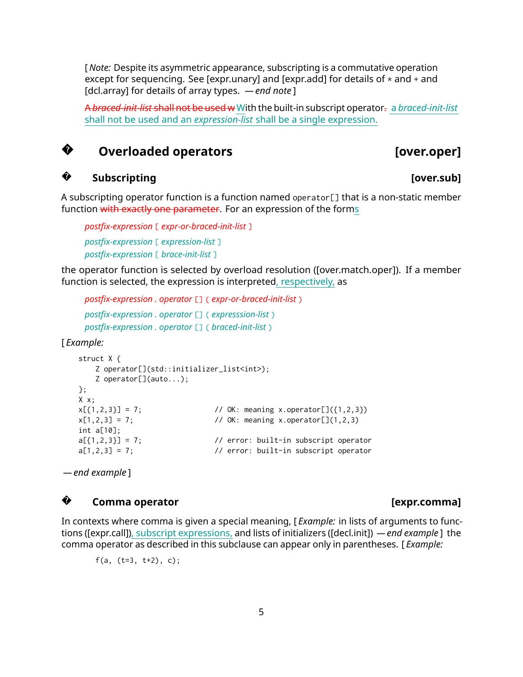[ *Note:* Despite its asymmetric appearance, subscripting is a commutative operation except for sequencing. See [expr.unary] and [expr.add] for details of  $*$  and  $*$  and [dcl.array] for details of array types. *— end note* ]

A *braced-init-list* shall not be used w With the built-in subscript operator. a *braced-init-list* shall not be used and an *expression-list* shall be a single expression.

#### **?Overloaded operators [over.oper]**

### **Subscripting [over.sub]**

A subscripting operator function is a function named operator[] that is a non-static member function with exactly one parameter. For an expression of the forms

```
postfix-expression [ expr-or-braced-init-list ]
postfix-expression [ expression-list ]
postfix-expression [ brace-init-list ]
```
the operator function is selected by overload resolution ([over.match.oper]). If a member function is selected, the expression is interpreted, respectively, as

*postfix-expression . operator* [] ( *expr-or-braced-init-list* ) *postfix-expression . operator* [] ( *expresssion-list* ) *postfix-expression . operator* [] ( *braced-init-list* )

[ *Example:*

**?**

```
struct X {
   Z operator[](std::initializer_list<int>);
   Z operator[](auto...);
};
X x;
x[{1,2,3}] = 7; // OK: meaning x.operator[]({1,2,3})
x[1,2,3] = 7; // OK: meaning x.operator[](1,2,3)
int a[10];
a[\{1,2,3\}] = 7; // error: built-in subscript operator
a[1,2,3] = 7; // error: built-in subscript operator
```
*— end example* ]

#### **?**Comma operator **comma** and **comma**  $\left[ \text{expr.com} \right]$

In contexts where comma is given a special meaning, [ *Example:* in lists of arguments to functions ([expr.call]), subscript expressions, and lists of initializers ([decl.init]) *— end example* ] the comma operator as described in this subclause can appear only in parentheses. [ *Example:*

f(a,  $(t=3, t+2)$ , c);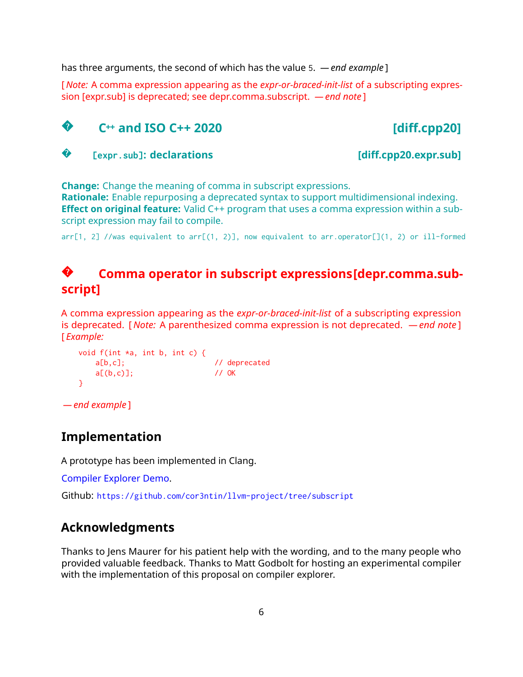has three arguments, the second of which has the value 5. *— end example* ]

[ *Note:* A comma expression appearing as the *expr-or-braced-init-list* of a subscripting expression [expr.sub] is deprecated; see depr.comma.subscript. *— end note* ]



**?**[expr.sub]**: declarations** [diff.cpp20.expr.sub]

**Change:** Change the meaning of comma in subscript expressions.

**Rationale:** Enable repurposing a deprecated syntax to support multidimensional indexing. **Effect on original feature:** Valid C++ program that uses a comma expression within a subscript expression may fail to compile.

 $arr[1, 2]$  //was equivalent to  $arr[(1, 2)]$ , now equivalent to  $arr.opentor[1, 2)$  or ill-formed

#### **?Comma operator in subscript expressions[depr.comma.subscript]**

A comma expression appearing as the *expr-or-braced-init-list* of a subscripting expression is deprecated. [ *Note:* A parenthesized comma expression is not deprecated. *— end note* ] [ *Example:*

```
void f(int *a, int b, int c) {
     a[b,c]; // deprecated
     a[(b,c)]; // OK
  }
— end example ]
```
#### **Implementation**

A prototype has been implemented in Clang.

[Compiler Explorer Demo.](https://gcc.godbolt.org/z/4szfLo)

Github: <https://github.com/cor3ntin/llvm-project/tree/subscript>

#### **Acknowledgments**

Thanks to Jens Maurer for his patient help with the wording, and to the many people who provided valuable feedback. Thanks to Matt Godbolt for hosting an experimental compiler with the implementation of this proposal on compiler explorer.